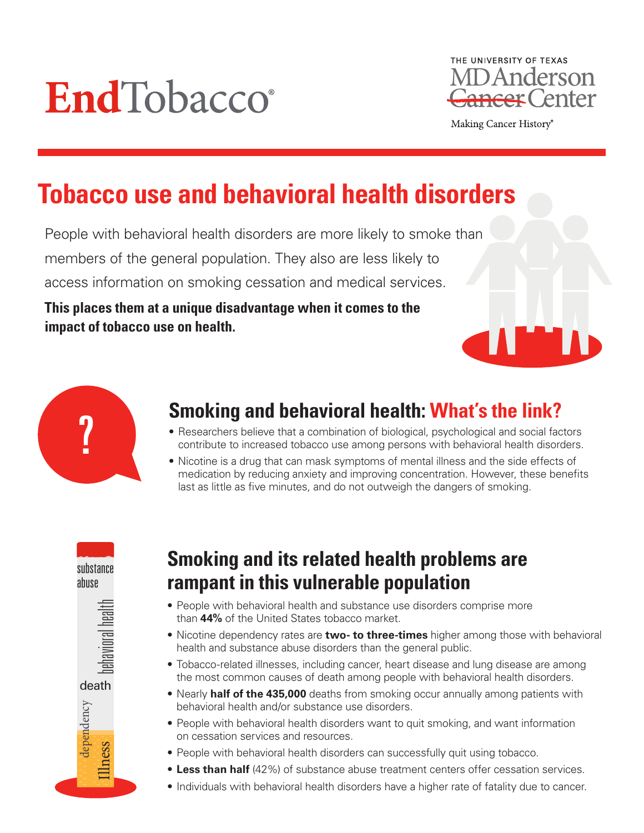



Making Cancer History®

# **Tobacco use and behavioral health disorders**

People with behavioral health disorders are more likely to smoke than members of the general population. They also are less likely to access information on smoking cessation and medical services.

**This places them at a unique disadvantage when it comes to the impact of tobacco use on health.** 



# **Smoking and behavioral health: What's the link?**

- Researchers believe that a combination of biological, psychological and social factors contribute to increased tobacco use among persons with behavioral health disorders.
- Nicotine is a drug that can mask symptoms of mental illness and the side effects of medication by reducing anxiety and improving concentration. However, these benefits last as little as five minutes, and do not outweigh the dangers of smoking.



Illness

dependency

## **Smoking and its related health problems are rampant in this vulnerable population**

- People with behavioral health and substance use disorders comprise more than **44%** of the United States tobacco market.
- Nicotine dependency rates are **two- to three-times** higher among those with behavioral health and substance abuse disorders than the general public.
- Tobacco-related illnesses, including cancer, heart disease and lung disease are among the most common causes of death among people with behavioral health disorders.
- Nearly **half of the 435,000** deaths from smoking occur annually among patients with behavioral health and/or substance use disorders.
- People with behavioral health disorders want to quit smoking, and want information on cessation services and resources.
- People with behavioral health disorders can successfully quit using tobacco.
- **Less than half** (42%) of substance abuse treatment centers offer cessation services.
- Individuals with behavioral health disorders have a higher rate of fatality due to cancer.